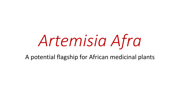# *Artemisia Afra*

A potential flagship for African medicinal plants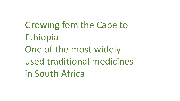Growing fom the Cape to Ethiopia One of the most widely used traditional medicines in South Africa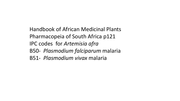Handbook of African Medicinal Plants Pharmacopeia of South Africa p121 IPC codes for *Artemisia afra*  B50- *Plasmodium falciparum* malaria B51- *Plasmodium vivax* malaria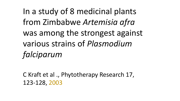In a study of 8 medicinal plants from Zimbabwe *Artemisia afra* was among the strongest against various strains of *Plasmodium falciparum*

C Kraft et al ., Phytotherapy Research 17, 123-128, 2003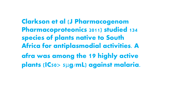Clarkson et al (J Pharmacogenom Pharmacoproteonics 2011) studied 134 species of plants native to South Africa for antiplasmodial activities. A afra was among the 19 highly active plants (IC50> 5μg/mL) against malaria.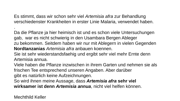Es stimmt, dass wir schon sehr viel *Artemisia afra* zur Behandlung verschiedenster Krankheiten in erster Linie Malaria, verwendet haben.

Da die Pflanze ja hier heimisch ist und es schon viele Untersuchungen gab, war es nicht schwierig in den Usambara Bergen Ableger zu bekommen. Seitdem haben wir nur mit Ablegern in vielen Gegenden **Nordtanzanias** *Artemisia afra* anbauen koennen.

Sie ist sehr wiederstandsfaehig und ergibt sehr viel mehr Ernte denn Artemisia annua.

Viele haben die Pflanze inzwischen in ihrem Garten und nehmen sie als frischen Tee entsprechend unseren Angaben. Aber darüber gibt es natürlich keine Aufzeichnungen.

So wird ihnen meine Aussage, dass *Artemisia afra* **sehr viel wirksamer ist denn** *Artemisia annua*, nicht viel helfen können.

Mechthild Keller

.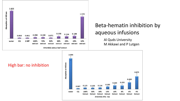

#### Beta-hematin inhibition by aqueous infusions

Al Quds University M Akkawi and P Lutgen



High bar: no inhibition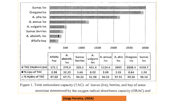

Figure 1. Total antioxidant capacity (TAC) of leaves (lvs), berries, and hay of some

atemisias determined by the oxygen radical absorbance capacity (ORAC) and

#### **(Jorge Ferreira, USDA)**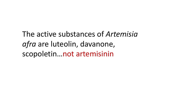The active substances of *Artemisia afra* are luteolin, davanone, scopoletin…not artemisinin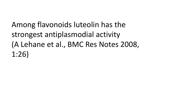Among flavonoids luteolin has the strongest antiplasmodial activity (A Lehane et al., BMC Res Notes 2008, 1:26)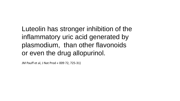### Luteolin has stronger inhibition of the inflammatory uric acid generated by plasmodium, than other flavonoids or even the drug allopurinol.

JM Pauff et al, J Nat Prod « 009 72, 725-31)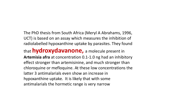The PhD thesis from South Africa (Meryl A Abrahams, 1996, UCT) is based on an assay which measures the inhibition of radiolabelled hypoxanthine uptake by parasites. They found

that **hydroxydavanone,** a molecule present in **Artemisia afra** at concentration 0.1-1.0 ng had an inhibitory effect stronger than artemisinine, and much stronger than chloroquine or mefloquine. At these low concentrations the latter 3 antimalarials even show an increase in hypoxanthine uptake. It is likely that with some antimalarials the hormetic range is very narrow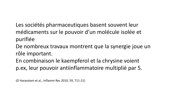Les sociétés pharmaceutiques basent souvent leur médicaments sur le pouvoir d'un molécule isolée et purifiée

De nombreux travaux montrent que la synergie joue un rôle important.

En combinaison le kaempferol et la chrysine voient p.ex, leur pouvoir antiinflammatoire multiplié par 5.

(O Harasstani et al., Inflamm Res 2010, 59, 711-21)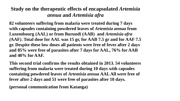#### **Study on the therapeutic effects of encapsulated** *Artemisia annua* **and** *Artemisia afra*

**82 volunteers suffering from malaria were treated during 7 days with capsules containing powdered leaves of** *Artemisia annua* **from Luxembourg (AAL) or from Burundi (AAB) and** *Artemisia afra (***AAF***)***. Total dose for AAL was 15 gr, for AAB 7.5 gr and for AAF 7.5 gr. Despite these low doses all patients were free of fever after 2 days and 85% were free of parasites after 7 days for AAL, 76% for AAB and 40% for AAF.** 

**This second trial confirms the results obtained in 2013. 54 volunteers suffering from malaria were treated during 10 days with capsules containing powdered leaves of** *Artemisia annua* **AAL All were free of fever after 2 days and 51 were free of parasites after 10 days.**

**(personal communication from Katanga)**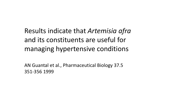Results indicate that *Artemisia afra*  and its constituents are useful for managing hypertensive conditions

AN Guantal et al., Pharmaceutical Biology 37.5 351-356 1999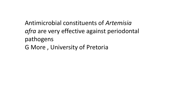Antimicrobial constituents of *Artemisia afra* are very effective against periodontal pathogens G More , University of Pretoria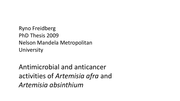Ryno Freidberg PhD Thesis 2009 Nelson Mandela Metropolitan University

Antimicrobial and anticancer activities of *Artemisia afra* and *Artemisia absinthium*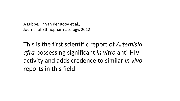A Lubbe, Fr Van der Kooy et al., Journal of Ethnopharmacology, 2012

This is the first scientific report of *Artemisia afra* possessing significant *in vitro* anti-HIV activity and adds credence to similar *in vivo*  reports in this field.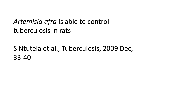## *Artemisia afra* is able to control tuberculosis in rats

### S Ntutela et al., Tuberculosis, 2009 Dec, 33-40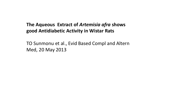#### **The Aqueous Extract of** *Artemisia afra* **shows good Antidiabetic Activity in Wistar Rats**

TO Sunmonu et al., Evid Based Compl and Altern Med, 20 May 2013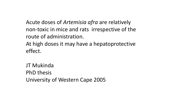Acute doses of *Artemisia afra* are relatively non-toxic in mice and rats irrespective of the route of administration. At high doses it may have a hepatoprotective effect.

JT Mukinda PhD thesis University of Western Cape 2005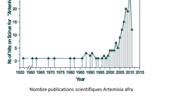

Nombre publications scientifiques Artemisia afra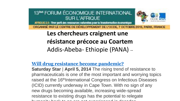13<sup>BME</sup> FORUM ÉCONOMIQUE INTERNATIONAL **SUR L'AFRIQUE** 



AFRIQUE 2.0: Ther parti des ressources naturelles pour la transformation économique

ORGANISÉ PAR LE CENTRE DE DÉVELOPPEMENT DE L'OCDE, 7 OCTOBRE 2013, PARIS, FRANCE

**Les chercheurs craignent une résistance précoce au Coartem** Addis-Abeba- Ethiopie (PANA) --

**[Will drug resistance become pandemic?](http://fightingmalaria.org/article.aspx?id=2107)**

**Saturday Star** | **April 5, 2014** The rising trend of resistance to pharmaceuticals is one of the most important and worrying topics raised at the 16<sup>th</sup>International Congress on Infectious Diseases (ICID) currently underway in Cape Town. With no sign of any new drugs becoming available, increasing wide-spread resistance to existing drugs has the potential to relegate humanity back to an era not experienced in decades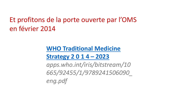## Et profitons de la porte ouverte par l'OMS en février 2014

#### **[WHO Traditional Medicine](http://apps.who.int/iris/bitstream/10665/92455/1/9789241506090_eng.pdf) Strategy 2 0 1 4 – 2023**

*apps.who.int/iris/bitstream/10 665/92455/1/9789241506090\_ eng.pdf*